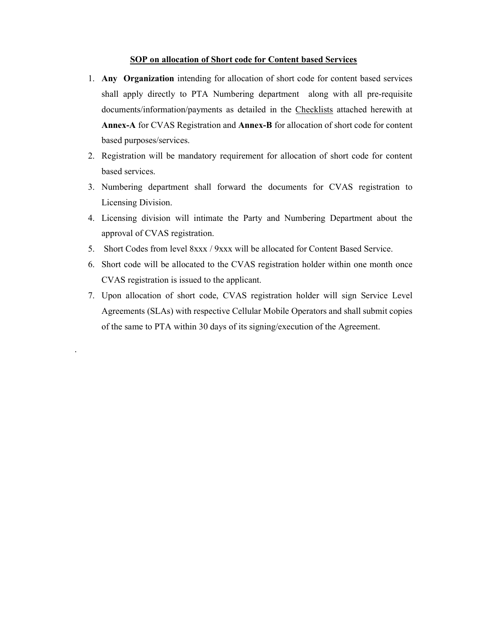#### SOP on allocation of Short code for Content based Services

- 1. Any Organization intending for allocation of short code for content based services shall apply directly to PTA Numbering department along with all pre-requisite documents/information/payments as detailed in the Checklists attached herewith at Annex-A for CVAS Registration and Annex-B for allocation of short code for content based purposes/services.
- 2. Registration will be mandatory requirement for allocation of short code for content based services.
- 3. Numbering department shall forward the documents for CVAS registration to Licensing Division.
- 4. Licensing division will intimate the Party and Numbering Department about the approval of CVAS registration.
- 5. Short Codes from level 8xxx / 9xxx will be allocated for Content Based Service.
- 6. Short code will be allocated to the CVAS registration holder within one month once CVAS registration is issued to the applicant.
- 7. Upon allocation of short code, CVAS registration holder will sign Service Level Agreements (SLAs) with respective Cellular Mobile Operators and shall submit copies of the same to PTA within 30 days of its signing/execution of the Agreement.

.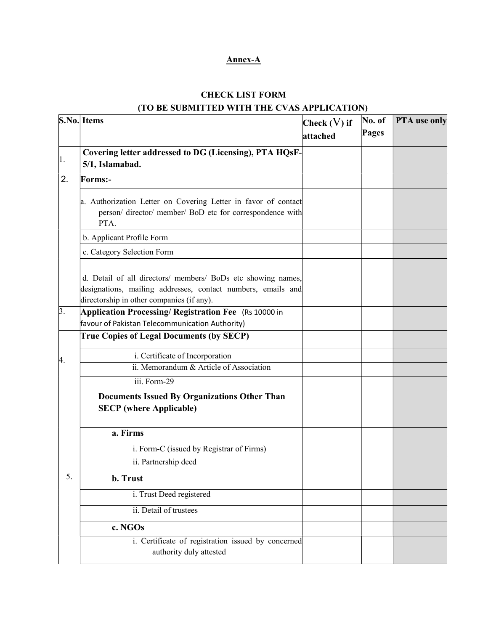## Annex-A

# CHECK LIST FORM (TO BE SUBMITTED WITH THE CVAS APPLICATION)

|    | S.No. Items                                                                                                                                                               | Check $(V)$ if | No. of | PTA use only |
|----|---------------------------------------------------------------------------------------------------------------------------------------------------------------------------|----------------|--------|--------------|
|    |                                                                                                                                                                           | attached       | Pages  |              |
|    | Covering letter addressed to DG (Licensing), PTA HQsF-                                                                                                                    |                |        |              |
| 1. | 5/1, Islamabad.                                                                                                                                                           |                |        |              |
| 2. | <b>Forms:-</b>                                                                                                                                                            |                |        |              |
|    | a. Authorization Letter on Covering Letter in favor of contact<br>person/director/member/BoD etc for correspondence with<br>PTA.                                          |                |        |              |
|    | b. Applicant Profile Form                                                                                                                                                 |                |        |              |
|    | c. Category Selection Form                                                                                                                                                |                |        |              |
|    | d. Detail of all directors/ members/ BoDs etc showing names,<br>designations, mailing addresses, contact numbers, emails and<br>directorship in other companies (if any). |                |        |              |
| 3. | Application Processing/ Registration Fee (Rs 10000 in<br>favour of Pakistan Telecommunication Authority)                                                                  |                |        |              |
|    | <b>True Copies of Legal Documents (by SECP)</b>                                                                                                                           |                |        |              |
| 4. | i. Certificate of Incorporation                                                                                                                                           |                |        |              |
|    | ii. Memorandum & Article of Association                                                                                                                                   |                |        |              |
|    | iii. Form-29                                                                                                                                                              |                |        |              |
|    | <b>Documents Issued By Organizations Other Than</b><br><b>SECP</b> (where Applicable)                                                                                     |                |        |              |
|    | a. Firms                                                                                                                                                                  |                |        |              |
|    | i. Form-C (issued by Registrar of Firms)                                                                                                                                  |                |        |              |
|    | ii. Partnership deed                                                                                                                                                      |                |        |              |
| 5. | b. Trust                                                                                                                                                                  |                |        |              |
|    | i. Trust Deed registered                                                                                                                                                  |                |        |              |
|    | ii. Detail of trustees                                                                                                                                                    |                |        |              |
|    | c. NGOs                                                                                                                                                                   |                |        |              |
|    | i. Certificate of registration issued by concerned<br>authority duly attested                                                                                             |                |        |              |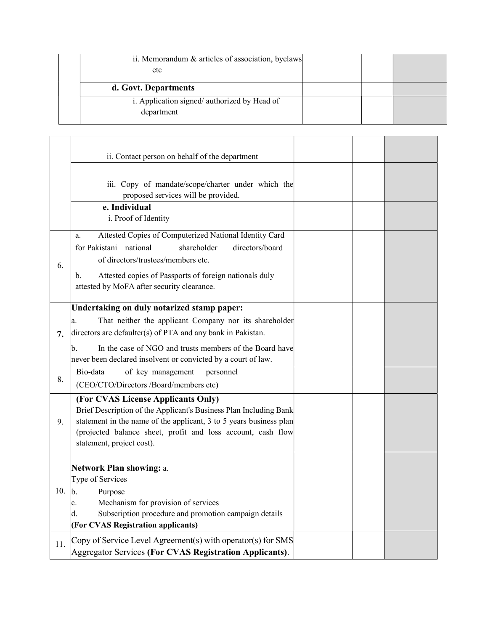| ii. Memorandum & articles of association, byelaws<br>etc  |  |  |
|-----------------------------------------------------------|--|--|
| d. Govt. Departments                                      |  |  |
| i. Application signed/authorized by Head of<br>department |  |  |

|     | ii. Contact person on behalf of the department                                                                                                                                                                                                                                                              |  |  |
|-----|-------------------------------------------------------------------------------------------------------------------------------------------------------------------------------------------------------------------------------------------------------------------------------------------------------------|--|--|
|     | iii. Copy of mandate/scope/charter under which the<br>proposed services will be provided.                                                                                                                                                                                                                   |  |  |
|     | e. Individual<br>i. Proof of Identity                                                                                                                                                                                                                                                                       |  |  |
| 6.  | Attested Copies of Computerized National Identity Card<br>a.<br>for Pakistani national<br>shareholder<br>directors/board<br>of directors/trustees/members etc.<br>Attested copies of Passports of foreign nationals duly<br>b.<br>attested by MoFA after security clearance.                                |  |  |
| 7.  | Undertaking on duly notarized stamp paper:<br>That neither the applicant Company nor its shareholder<br>a.<br>directors are defaulter(s) of PTA and any bank in Pakistan.<br>In the case of NGO and trusts members of the Board have<br>b.<br>never been declared insolvent or convicted by a court of law. |  |  |
| 8.  | Bio-data<br>of key management<br>personnel<br>(CEO/CTO/Directors /Board/members etc)                                                                                                                                                                                                                        |  |  |
| 9.  | (For CVAS License Applicants Only)<br>Brief Description of the Applicant's Business Plan Including Bank<br>statement in the name of the applicant, 3 to 5 years business plan<br>(projected balance sheet, profit and loss account, cash flow<br>statement, project cost).                                  |  |  |
| 10. | Network Plan showing: a.<br>Type of Services<br> b.<br>Purpose<br>Mechanism for provision of services<br>c.<br>Subscription procedure and promotion campaign details<br>d.<br>(For CVAS Registration applicants)                                                                                            |  |  |
| 11. | Copy of Service Level Agreement(s) with operator(s) for SMS<br>Aggregator Services (For CVAS Registration Applicants).                                                                                                                                                                                      |  |  |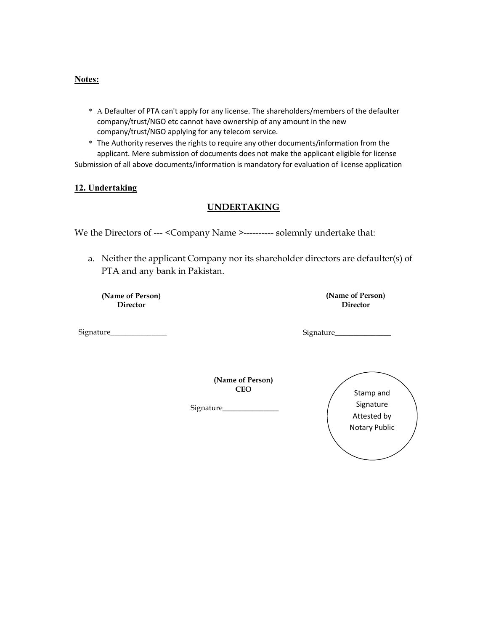#### Notes:

- \* A Defaulter of PTA can't apply for any license. The shareholders/members of the defaulter company/trust/NGO etc cannot have ownership of any amount in the new company/trust/NGO applying for any telecom service.
- \* The Authority reserves the rights to require any other documents/information from the applicant. Mere submission of documents does not make the applicant eligible for license Submission of all above documents/information is mandatory for evaluation of license application

### 12. Undertaking

### UNDERTAKING

We the Directors of --- < Company Name >---------- solemnly undertake that:

a. Neither the applicant Company nor its shareholder directors are defaulter(s) of PTA and any bank in Pakistan.

(Name of Person) **Director** 

Signature\_\_\_\_\_\_\_\_\_\_\_\_\_\_\_

(Name of Person) Director

Signature\_\_\_\_\_

(Name of Person) CEO

Signature\_\_\_\_\_\_\_\_\_\_\_\_\_\_\_

Stamp and Signature Attested by Notary Public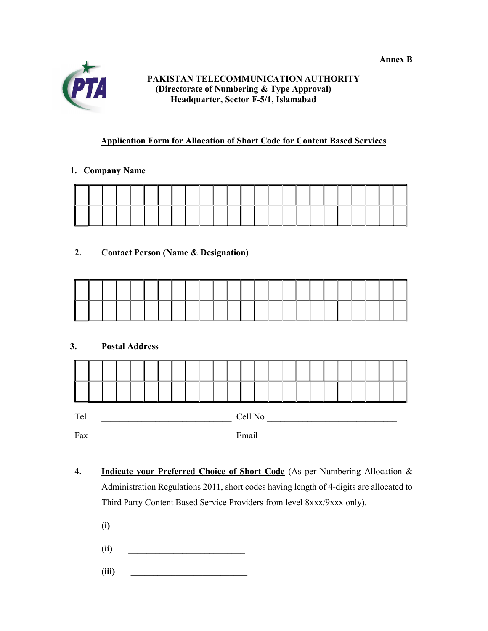Annex B



## PAKISTAN TELECOMMUNICATION AUTHORITY (Directorate of Numbering & Type Approval) Headquarter, Sector F-5/1, Islamabad

# Application Form for Allocation of Short Code for Content Based Services

# 1. Company Name

# 2. Contact Person (Name & Designation)

# 3. Postal Address

| Tel |  |  |  |  |  |  |       | Cell No |  |  |  |  |  |  |  |  |  |  |  |  |  |
|-----|--|--|--|--|--|--|-------|---------|--|--|--|--|--|--|--|--|--|--|--|--|--|
| Fax |  |  |  |  |  |  | Email |         |  |  |  |  |  |  |  |  |  |  |  |  |  |

- 4. Indicate your Preferred Choice of Short Code (As per Numbering Allocation & Administration Regulations 2011, short codes having length of 4-digits are allocated to Third Party Content Based Service Providers from level 8xxx/9xxx only).
	- $(i)$   $\qquad \qquad$
	- $(ii)$   $\qquad \qquad \qquad$
	- (iii)  $\qquad \qquad \qquad$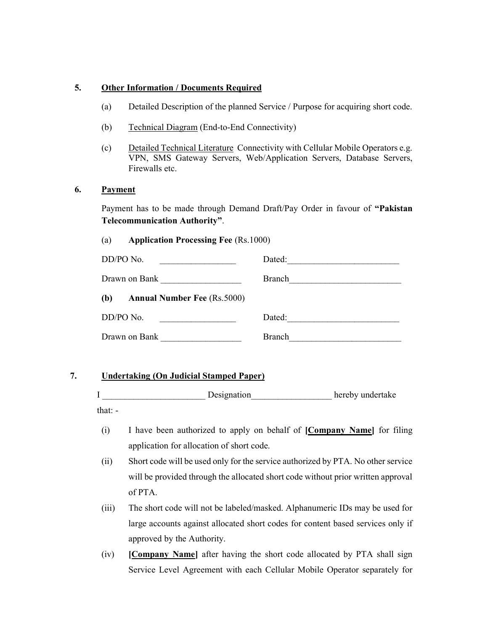### 5. Other Information / Documents Required

- (a) Detailed Description of the planned Service / Purpose for acquiring short code.
- (b) Technical Diagram (End-to-End Connectivity)
- (c) Detailed Technical Literature Connectivity with Cellular Mobile Operators e.g. VPN, SMS Gateway Servers, Web/Application Servers, Database Servers, Firewalls etc.

#### 6. Payment

Payment has to be made through Demand Draft/Pay Order in favour of "Pakistan Telecommunication Authority".

#### (a) Application Processing Fee (Rs.1000)

| DD/PO No.                                 | Dated:        |
|-------------------------------------------|---------------|
| Drawn on Bank                             | <b>Branch</b> |
| (b)<br><b>Annual Number Fee</b> (Rs.5000) |               |
| DD/PO No.                                 | Dated:        |
| Drawn on Bank                             | <b>Branch</b> |

### 7. Undertaking (On Judicial Stamped Paper)

I \_\_\_\_\_\_\_\_\_\_\_\_\_\_\_\_\_\_\_\_\_\_\_ Designation\_\_\_\_\_\_\_\_\_\_\_\_\_\_\_\_\_\_ hereby undertake that: -

- (i) I have been authorized to apply on behalf of [Company Name] for filing application for allocation of short code.
- (ii) Short code will be used only for the service authorized by PTA. No other service will be provided through the allocated short code without prior written approval of PTA.
- (iii) The short code will not be labeled/masked. Alphanumeric IDs may be used for large accounts against allocated short codes for content based services only if approved by the Authority.
- (iv) [Company Name] after having the short code allocated by PTA shall sign Service Level Agreement with each Cellular Mobile Operator separately for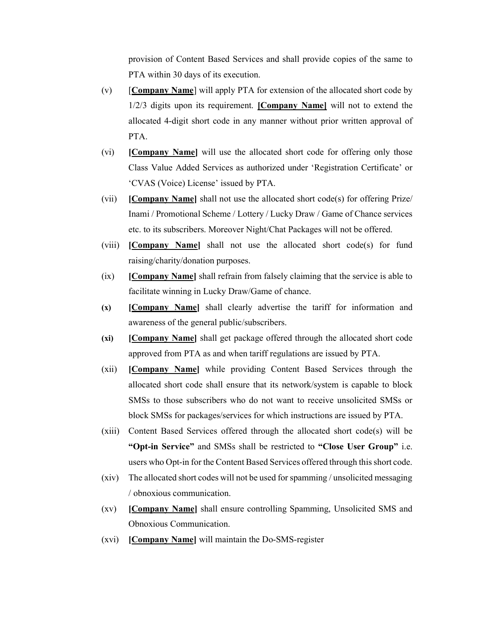provision of Content Based Services and shall provide copies of the same to PTA within 30 days of its execution.

- (v)  $[Comparly Name]$  will apply PTA for extension of the allocated short code by 1/2/3 digits upon its requirement. [Company Name] will not to extend the allocated 4-digit short code in any manner without prior written approval of PTA.
- (vi) [Company Name] will use the allocated short code for offering only those Class Value Added Services as authorized under 'Registration Certificate' or 'CVAS (Voice) License' issued by PTA.
- (vii) [Company Name] shall not use the allocated short code(s) for offering Prize/ Inami / Promotional Scheme / Lottery / Lucky Draw / Game of Chance services etc. to its subscribers. Moreover Night/Chat Packages will not be offered.
- (viii) [Company Name] shall not use the allocated short code(s) for fund raising/charity/donation purposes.
- (ix) **[Company Name]** shall refrain from falsely claiming that the service is able to facilitate winning in Lucky Draw/Game of chance.
- (x) [Company Name] shall clearly advertise the tariff for information and awareness of the general public/subscribers.
- (xi) [Company Name] shall get package offered through the allocated short code approved from PTA as and when tariff regulations are issued by PTA.
- (xii) [Company Name] while providing Content Based Services through the allocated short code shall ensure that its network/system is capable to block SMSs to those subscribers who do not want to receive unsolicited SMSs or block SMSs for packages/services for which instructions are issued by PTA.
- (xiii) Content Based Services offered through the allocated short code(s) will be "Opt-in Service" and SMSs shall be restricted to "Close User Group" i.e. users who Opt-in for the Content Based Services offered through this short code.
- (xiv) The allocated short codes will not be used for spamming / unsolicited messaging / obnoxious communication.
- (xv) [Company Name] shall ensure controlling Spamming, Unsolicited SMS and Obnoxious Communication.
- (xvi) [Company Name] will maintain the Do-SMS-register